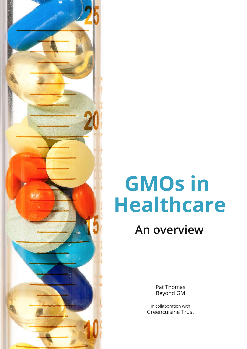# **GMOs in Healthcare An overview**

Pat Thomas Beyond GM

in collaboration with Greencuisine Trust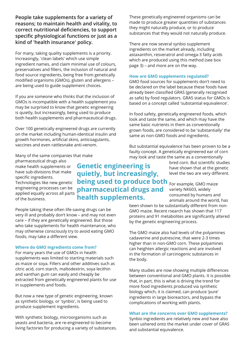**People take supplements for a variety of reasons; to maintain health and vitality, to correct nutritional deficiencies, to support specific physiological functions or just as a kind of 'health insurance' policy.**

For many, taking quality supplements is a priority. Increasingly, 'clean labels' which use simple ingredient names, and claim minimal use of colours, preservatives and fillers, the inclusion of natural and food source ingredients, being free from genetically modified organisms (GMOs), gluten and allergens – are being used to guide supplement choices.

If you are someone who thinks that the inclusion of GMOs is incompatible with a health supplement you may be surprised to know that genetic engineering is quietly, but increasingly, being used to produce both health supplements and pharmaceutical drugs.

Over 100 genetically engineered drugs are currently on the market including human-identical insulin and growth hormones, artificial skins, anticoagulants, vaccines and even rattlesnake anti-venom.

These genetically engineered organisms can be made to produce greater quantities of substances they might naturally produce, or to produce substances that they would not naturally produce.

There are now several synbio supplement ingredients on the market already, including astaxanthin, resveratrol and omega-3 fatty acids which are produced using this method (see box page 3) – and more are on the way.

## **How are GMO supplements regulated?**

GMO food sources for supplements don't need to be declared on the label because these foods have already been classified GRAS (generally recognised as safe) by food regulators. GRAS status for GMOs is based on a concept called 'substantial equivalence'.

In food safety, genetically engineered foods, which look and taste the same, and which may have the same basic nutrients in them as conventionally grown foods, are considered to be 'substantially' the same as non-GMO foods and ingredients.

But substantial equivalence has been proven to be a faulty concept. A genetically engineered ear of corn may look and taste the same as a conventionally

Many of the same companies that make pharmaceutical drugs also make health supplements or have sub-divisions that make specific ingredients. Technologies like new genetic engineering processes can be applied equally across all parts of the business.

bred corn. But scientific studies have shown that at the genetic level the two are very different. **being used to produce both** For example, GMO maize **Genetic engineering is quietly, but increasingly, pharmaceutical drugs and health supplements.**

People taking these often life-saving drugs can be very ill and probably don't know – and may not even care – if they are genetically engineered. But those who take supplements for health maintenance, who may otherwise consciously try to avoid eating GMO foods, may take a different view.

# **Where do GMO ingredients come from?**

For many years the use of GMOs in health supplements was limited to starting materials such as maize or soya. Fillers and other additives such as citric acid, corn starch, maltodextrin, soya lecithin and xanthan gum can easily and cheaply be extracted from genetically engineered plants for use in supplements and foods.

But now a new type of genetic engineering, known as synthetic biology, or 'synbio', is being used to produce supplement ingredients.

With synthetic biology, microorganisms such as yeasts and bacteria, are re-engineered to become living factories for producing a variety of substances.

variety NK603, widely consumed by humans and animals around the world, has been shown to be substantially different from non-

GMO maize. Recent rsearch has shown that 117 proteins and 91 metabolites are significantly altered by the genetic engineering process.

The GMO maize also had levels of the polyamines cadaverine and putrescine, that were 2-3 times higher than in non-GMO corn. These polyamines can heighten allergic reactions and are involved in the formation of carcinogenic substances in the body.

Many studies are now showing multiple differences between conventional and GMO plants. It is possible that, in part, this is what is driving the trend for more food ingredients produced via synthetic biology which, it is claimed, can produce 'pure' ingredients in large bioreactors, and bypass the complications of working with plants.

### **What are the concerns over GMO supplements?**

Synbio ingredients are relatively new and have also been ushered onto the market under cover of GRAS and substantial equivalence.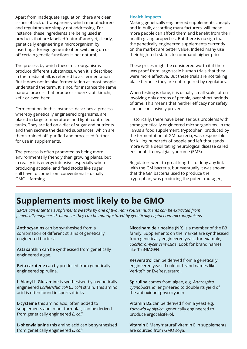Apart from inadequate regulation, there are clear issues of lack of transparency which manufacturers and regulators are simply not addressing. For instance, these ingredients are being used in products that are labelled 'natural' and yet, clearly, genetically engineering a microorganism by inserting a foreign gene into it or switching on or off certain genetic functions is not natural.

The process by which these microorganisms produce different substances, when it is described in the media at all, is referred to as 'fermentation'. But it does not involve fermentation as most people understand the term. It is not, for instance the same natural process that produces sauerkraut, kimchi, kefir or even beer.

Fermentation, in this instance, describes a process whereby genetically engineered organisms, are placed in large temperature- and light- controlled tanks. They are fed on a diet of sugar and nutrients and then secrete the desired substances, which are then strained off, purified and processed further for use in supplements.

The process is often promoted as being more environmentally friendly than growing plants, but in reality it is energy intensive, especially when producing at scale, and feed stocks like sugar still have to come from conventional – usually GMO – farming.

### **Health impacts**

Making genetically engineered supplements cheaply and in bulk, according manufacturers, will mean more people can afford them and benefit from their health-giving properties. But there is no sign that the genetically engineered supplements currently on the market are better value. Indeed many use their high-tech status to command higher prices.

These prices might be considered worth it if there was proof from large-scale human trials that they were more affective. But these trials are not taking place because they are not required by regulators.

When testing is done, it is usually small scale, often involving only dozens of people, over short periods of time. This means that neither efficacy nor safety can be conclusively proven.

Historically, there have been serious problems with some genetically engineered microorganisms. In the 1990s a food supplement, tryptophan, produced by the fermentation of GM bacteria, was responsible for killing hundreds of people and left thousands more with a debilitating neurological disease called eosinophilia-myalgia syndrome (EMS).

Regulators went to great lengths to deny any link with the GM bacteria, but eventually it was shown that the GM bacteria used to produce the tryptophan, was producing the potent mutagen,

# **Supplements most likely to be GMO**

*GMOs can enter the supplements we take by one of two main routes: nutrients can be extracted from genetically engineered plants or they can be manufactured by genetically engineered microorganisms*

**Anthocyanins** can be synthesised from a combination of different strains of genetically engineered bacteria.

**Astaxanthin** can be synthesised from genetically engineered algae.

**Beta carotene** can by produced from genetically engineered spirulina.

**L-Alanyl-L-Glutamine** is synthesised by a genetically engineered *Escherichia coli* (*E. coli*) strain. This amino acid is often found in sports drinks.

**L-cysteine** this amino acid, often added to supplements and infant formulas, can be derived from genetically engineered *E. coli*.

**L-phenylalanine** this amino acid can be synthesised from genetically engineered *E. coli*.

**Nicotinamide riboside (NR)** is a member of the B3 family. Supplements on the market are synthesised from genetically engineered yeast, for example, *Saccharomyces cerevisiae*. Look for brand names like TruNIAGEN.

**Resveratrol** can be derived from a genetically engineered yeast. Look for brand names like Veri-te™ or EveResveratrol.

**Spirulina** comes from algae, e.g. *Arthrospira cyanobacteria*, engineered to double its yield of the antioxidant phycocyanin.

**Vitamin D2** can be derived from a yeast e.g. *Yarrowia lipolytica*, genetically engineered to produce ergocalciferol.

**Vitamin E** Many 'natural' vitamin E in supplements are sourced from GMO soya.